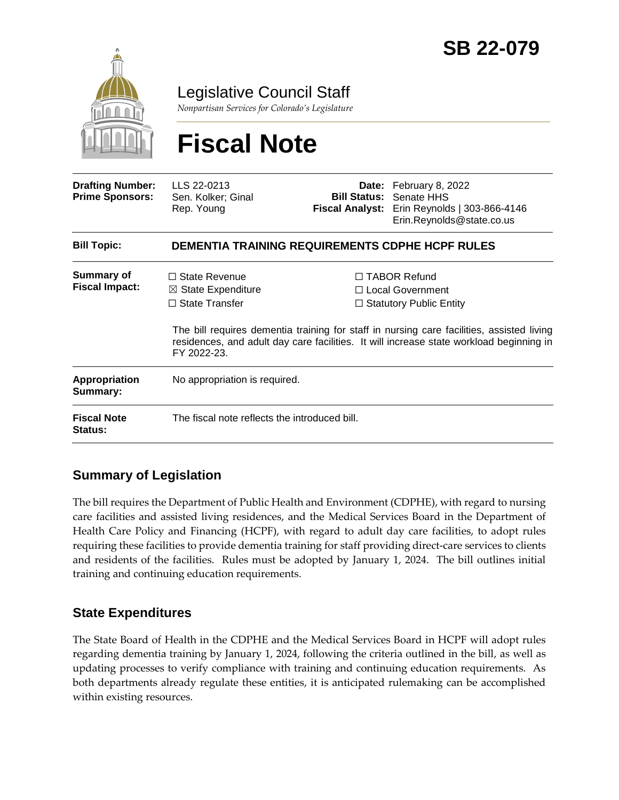

Legislative Council Staff

*Nonpartisan Services for Colorado's Legislature*

# **Fiscal Note**

| <b>Drafting Number:</b><br><b>Prime Sponsors:</b> | LLS 22-0213<br>Sen. Kolker; Ginal<br>Rep. Young                                               |  | <b>Date:</b> February 8, 2022<br><b>Bill Status: Senate HHS</b><br>Fiscal Analyst: Erin Reynolds   303-866-4146<br>Erin.Reynolds@state.co.us                                                                                                                             |  |
|---------------------------------------------------|-----------------------------------------------------------------------------------------------|--|--------------------------------------------------------------------------------------------------------------------------------------------------------------------------------------------------------------------------------------------------------------------------|--|
| <b>Bill Topic:</b>                                | <b>DEMENTIA TRAINING REQUIREMENTS CDPHE HCPF RULES</b>                                        |  |                                                                                                                                                                                                                                                                          |  |
| Summary of<br><b>Fiscal Impact:</b>               | $\Box$ State Revenue<br>$\boxtimes$ State Expenditure<br>$\Box$ State Transfer<br>FY 2022-23. |  | $\Box$ TABOR Refund<br>$\Box$ Local Government<br>$\Box$ Statutory Public Entity<br>The bill requires dementia training for staff in nursing care facilities, assisted living<br>residences, and adult day care facilities. It will increase state workload beginning in |  |
| <b>Appropriation</b><br>Summary:                  | No appropriation is required.                                                                 |  |                                                                                                                                                                                                                                                                          |  |
| <b>Fiscal Note</b><br><b>Status:</b>              | The fiscal note reflects the introduced bill.                                                 |  |                                                                                                                                                                                                                                                                          |  |

# **Summary of Legislation**

The bill requires the Department of Public Health and Environment (CDPHE), with regard to nursing care facilities and assisted living residences, and the Medical Services Board in the Department of Health Care Policy and Financing (HCPF), with regard to adult day care facilities, to adopt rules requiring these facilities to provide dementia training for staff providing direct-care services to clients and residents of the facilities. Rules must be adopted by January 1, 2024. The bill outlines initial training and continuing education requirements.

## **State Expenditures**

The State Board of Health in the CDPHE and the Medical Services Board in HCPF will adopt rules regarding dementia training by January 1, 2024, following the criteria outlined in the bill, as well as updating processes to verify compliance with training and continuing education requirements. As both departments already regulate these entities, it is anticipated rulemaking can be accomplished within existing resources.